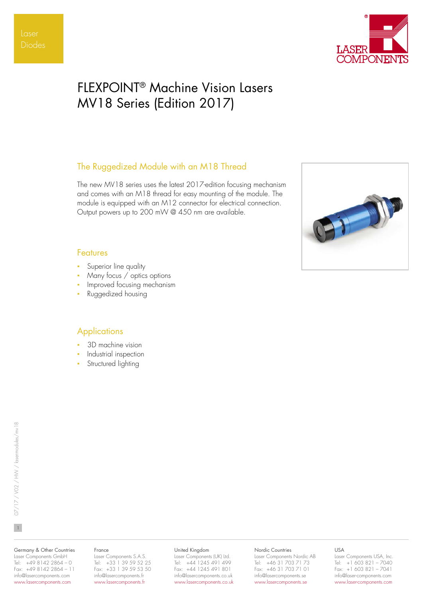

# FLEXPOINT® Machine Vision Lasers MV18 Series (Edition 2017)

# The Ruggedized Module with an M18 Thread

The new MV18 series uses the latest 2017-edition focusing mechanism and comes with an M18 thread for easy mounting of the module. The module is equipped with an M12 connector for electrical connection. Output powers up to 200 mW @ 450 nm are available.



## Features

- Superior line quality
- Many focus / optics options
- Improved focusing mechanism
- Ruggedized housing

# **Applications**

- 3D machine vision
- Industrial inspection
- Structured lighting

### Germany & Other Countries Laser Components GmbH

Tel: +49 8142 2864 – 0 Fax: +49 8142 2864 – 11 info@lasercomponents.com www.lasercomponents.com

### France

Laser Components S.A.S. Tel: +33 1 39 59 52 25 Fax: +33 1 39 59 53 50 info@lasercomponents.fr www.lasercomponents.fr

### United Kingdom

Laser Components (UK) Ltd. Tel: +44 1245 491 499 Fax: +44 1245 491 801 info@lasercomponents.co.uk www.lasercomponents.co.uk

### Nordic Countries

Laser Components Nordic AB Tel: +46 31 703 71 73 Fax: +46 31 703 71 01 info@lasercomponents.se www.lasercomponents.se

### USA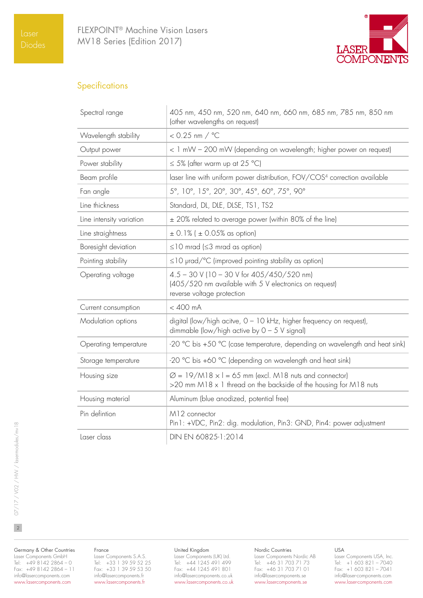

# **Specifications**

| Spectral range           | 405 nm, 450 nm, 520 nm, 640 nm, 660 nm, 685 nm, 785 nm, 850 nm<br>(other wavelengths on request)                                              |  |  |  |  |  |  |
|--------------------------|-----------------------------------------------------------------------------------------------------------------------------------------------|--|--|--|--|--|--|
| Wavelength stability     | $< 0.25$ nm $/$ °C                                                                                                                            |  |  |  |  |  |  |
| Output power             | < 1 mW - 200 mW (depending on wavelength; higher power on request)                                                                            |  |  |  |  |  |  |
| Power stability          | $\leq$ 5% (after warm up at 25 °C)                                                                                                            |  |  |  |  |  |  |
| Beam profile             | laser line with uniform power distribution, FOV/COS4 correction available                                                                     |  |  |  |  |  |  |
| Fan angle                | 5°, 10°, 15°, 20°, 30°, 45°, 60°, 75°, 90°                                                                                                    |  |  |  |  |  |  |
| Line thickness           | Standard, DL, DLE, DLSE, TS1, TS2                                                                                                             |  |  |  |  |  |  |
| Line intensity variation | ± 20% related to average power (within 80% of the line)                                                                                       |  |  |  |  |  |  |
| Line straightness        | $\pm$ 0.1% ( $\pm$ 0.05% as option)                                                                                                           |  |  |  |  |  |  |
| Boresight deviation      | $\leq$ 10 mrad ( $\leq$ 3 mrad as option)                                                                                                     |  |  |  |  |  |  |
| Pointing stability       | $\leq$ 10 $\mu$ rad/°C (improved pointing stability as option)                                                                                |  |  |  |  |  |  |
| Operating voltage        | $4.5 - 30$ V (10 - 30 V for $405/450/520$ nm)<br>(405/520 nm available with 5 V electronics on request)<br>reverse voltage protection         |  |  |  |  |  |  |
| Current consumption      | $< 400$ mA                                                                                                                                    |  |  |  |  |  |  |
| Modulation options       | digital (low/high acitve, 0 - 10 kHz, higher frequency on request),<br>dimmable (low/high active by $0 - 5$ V signal)                         |  |  |  |  |  |  |
| Operating temperature    | -20 °C bis +50 °C (case temperature, depending on wavelength and heat sink)                                                                   |  |  |  |  |  |  |
| Storage temperature      | -20 °C bis +60 °C (depending on wavelength and heat sink)                                                                                     |  |  |  |  |  |  |
| Housing size             | $\varnothing$ = 19/M18 $\times$ I = 65 mm (excl. M18 nuts and connector)<br>>20 mm M18 x 1 thread on the backside of the housing for M18 nuts |  |  |  |  |  |  |
| Housing material         | Aluminum (blue anodized, potential free)                                                                                                      |  |  |  |  |  |  |
| Pin defintion            | M12 connector<br>Pin1: +VDC, Pin2: dig. modulation, Pin3: GND, Pin4: power adjustment                                                         |  |  |  |  |  |  |
| Laser class              | DIN EN 60825-1:2014                                                                                                                           |  |  |  |  |  |  |

Germany & Other Countries Laser Components GmbH Tel: +49 8142 2864 – 0 Fax: +49 8142 2864 – 11 info@lasercomponents.com

www.lasercomponents.com

### France

Laser Components S.A.S. Tel: +33 1 39 59 52 25 Fax: +33 1 39 59 53 50 info@lasercomponents.fr www.lasercomponents.fr

#### United Kingdom

Laser Components (UK) Ltd. Tel: +44 1245 491 499 Fax: +44 1245 491 801 info@lasercomponents.co.uk www.lasercomponents.co.uk

#### Nordic Countries

Laser Components Nordic AB Tel: +46 31 703 71 73 Fax: +46 31 703 71 01 info@lasercomponents.se www.lasercomponents.se

### USA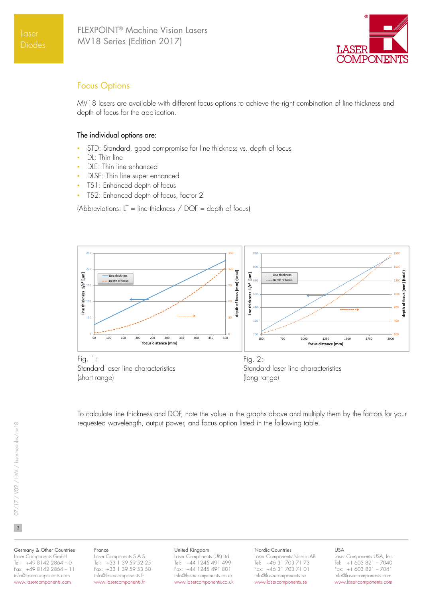

# Focus Options

MV18 lasers are available with different focus options to achieve the right combination of line thickness and depth of focus for the application.

### The individual options are:

- STD: Standard, good compromise for line thickness vs. depth of focus
- DL: Thin line
- DLE: Thin line enhanced
- DLSE: Thin line super enhanced
- TS1: Enhanced depth of focus
- TS2: Enhanced depth of focus, factor 2

(Abbreviations:  $LT = line$  thickness / DOF = depth of focus)



To calculate line thickness and DOF, note the value in the graphs above and multiply them by the factors for your requested wavelength, output power, and focus option listed in the following table.

 $\overline{3}$ 

#### Germany & Other Countries Laser Components GmbH Tel: +49 8142 2864 – 0 Fax: +49 8142 2864 – 11 info@lasercomponents.com www.lasercomponents.com

### France

Laser Components S.A.S. Tel: +33 1 39 59 52 25 Fax: +33 1 39 59 53 50 info@lasercomponents.fr www.lasercomponents.fr

### United Kingdom

Laser Components (UK) Ltd. Tel: +44 1245 491 499 Fax: +44 1245 491 801 info@lasercomponents.co.uk www.lasercomponents.co.uk

#### Nordic Countries

Laser Components Nordic AB Tel: +46 31 703 71 73 Fax: +46 31 703 71 01 info@lasercomponents.se www.lasercomponents.se

### USA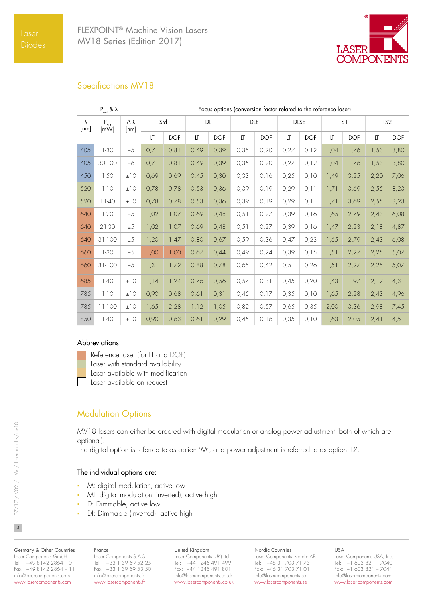

# Specifications MV18

| $P_{\text{out}}$ & $\lambda$ |                                        | Focus options (conversion factor related to the reference laser) |       |            |           |            |            |            |             |            |      |            |                 |            |
|------------------------------|----------------------------------------|------------------------------------------------------------------|-------|------------|-----------|------------|------------|------------|-------------|------------|------|------------|-----------------|------------|
| $\lambda$<br>[nm]            | $P_{\text{out}}$<br>$\lceil mW \rceil$ | Δλ<br>[nm]                                                       | Std   |            | <b>DL</b> |            | <b>DLE</b> |            | <b>DLSE</b> |            | TS1  |            | TS <sub>2</sub> |            |
|                              |                                        |                                                                  | LT    | <b>DOF</b> | LT        | <b>DOF</b> | LT         | <b>DOF</b> | LT          | <b>DOF</b> | LT   | <b>DOF</b> | LT              | <b>DOF</b> |
| 405                          | $1 - 30$                               | $\pm 5$                                                          | 0,71  | 0, 81      | 0,49      | 0,39       | 0,35       | 0,20       | 0,27        | 0,12       | 1,04 | 1,76       | 1,53            | 3,80       |
| 405                          | 30-100                                 | ±6                                                               | 0,71  | 0, 81      | 0,49      | 0,39       | 0,35       | 0,20       | 0,27        | 0,12       | 1,04 | 1,76       | 1,53            | 3,80       |
| 450                          | $1-50$                                 | ±10                                                              | 0,69  | 0,69       | 0,45      | 0,30       | 0,33       | 0,16       | 0,25        | 0,10       | 1,49 | 3,25       | 2,20            | 7,06       |
| 520                          | $1 - 10$                               | ±10                                                              | 0,78  | 0,78       | 0,53      | 0,36       | 0,39       | 0,19       | 0,29        | 0,11       | 1,71 | 3,69       | 2,55            | 8,23       |
| 520                          | $11-40$                                | ±10                                                              | 0,78  | 0,78       | 0,53      | 0,36       | 0,39       | 0,19       | 0,29        | 0,11       | 1,71 | 3,69       | 2,55            | 8,23       |
| 640                          | $1 - 20$                               | $\pm 5$                                                          | 1,02  | 1,07       | 0,69      | 0,48       | 0, 51      | 0,27       | 0,39        | 0,16       | 1,65 | 2,79       | 2,43            | 6,08       |
| 640                          | $21-30$                                | ±5                                                               | 1,02  | 1,07       | 0,69      | 0,48       | 0, 51      | 0,27       | 0,39        | 0,16       | 1,47 | 2,23       | 2,18            | 4,87       |
| 640                          | $31-100$                               | ±5                                                               | 1,20  | 1,47       | 0,80      | 0,67       | 0,59       | 0,36       | 0,47        | 0,23       | 1,65 | 2,79       | 2,43            | 6,08       |
| 660                          | $1-30$                                 | ±5                                                               | 1,00  | 1,00       | 0,67      | 0,44       | 0,49       | 0,24       | 0,39        | 0, 15      | 1,51 | 2,27       | 2,25            | 5,07       |
| 660                          | $31-100$                               | ±5                                                               | 1, 31 | 1,72       | 0,88      | 0,78       | 0,65       | 0,42       | 0, 51       | 0,26       | 1,51 | 2,27       | 2,25            | 5,07       |
| 685                          | $1-40$                                 | ±10                                                              | 1,14  | 1,24       | 0,76      | 0,56       | 0,57       | 0, 31      | 0,45        | 0,20       | 1,43 | 1,97       | 2,12            | 4,31       |
| 785                          | $1 - 10$                               | ±10                                                              | 0,90  | 0,68       | 0,61      | 0,31       | 0,45       | 0,17       | 0,35        | 0,10       | 1,65 | 2,28       | 2,43            | 4,96       |
| 785                          | $11-100$                               | ±10                                                              | 1,65  | 2,28       | 1,12      | 1,05       | 0,82       | 0,57       | 0,65        | 0,35       | 2,00 | 3,36       | 2,98            | 7,45       |
| 850                          | $1-40$                                 | ±10                                                              | 0,90  | 0,63       | 0,61      | 0,29       | 0,45       | 0,16       | 0,35        | 0,10       | 1,63 | 2,05       | 2,41            | 4,51       |

### Abbreviations



Reference laser (for LT and DOF)

Laser with standard availability

Laser available with modification

Laser available on request

# **Modulation Options**

MV18 lasers can either be ordered with digital modulation or analog power adjustment (both of which are optional).

The digital option is referred to as option 'M', and power adjustment is referred to as option 'D'.

### The individual options are:

- M: digital modulation, active low
- MI: digital modulation (inverted), active high
- D: Dimmable, active low
- DI: Dimmable (inverted), active high

#### Germany & Other Countries Laser Components GmbH Tel: +49 8142 2864 – 0 Fax: +49 8142 2864 – 11 info@lasercomponents.com www.lasercomponents.com

#### France Laser Components S.A.S. Tel: +33 1 39 59 52 25 Fax: +33 1 39 59 53 50 info@lasercomponents.fr

www.lasercomponents.fr

### United Kingdom

Laser Components (UK) Ltd. Tel: +44 1245 491 499 Fax: +44 1245 491 801 info@lasercomponents.co.uk www.lasercomponents.co.uk

### Nordic Countries

Laser Components Nordic AB Tel: +46 31 703 71 73 Fax: +46 31 703 71 01 info@lasercomponents.se www.lasercomponents.se

USA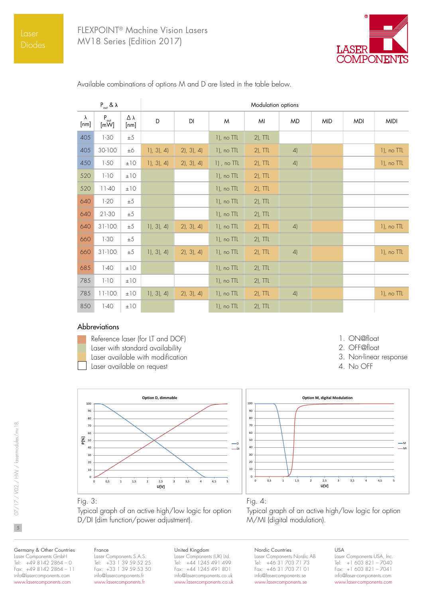

| $P_{\text{out}}$ & $\lambda$ |                          |            | Modulation options |         |                 |            |           |            |            |               |  |
|------------------------------|--------------------------|------------|--------------------|---------|-----------------|------------|-----------|------------|------------|---------------|--|
| $\lambda$<br>[nm]            | $P_{\text{out}}$<br>[mW] | Δλ<br>[nm] | D                  | DI      | M               | MI         | <b>MD</b> | <b>MID</b> | <b>MDI</b> | <b>MIDI</b>   |  |
| 405                          | $1-30$                   | ±5         |                    |         | 1), no TTL      | $2$ ), TTL |           |            |            |               |  |
| 405                          | 30-100                   | $\pm 6$    | 1, 3, 4            | 2, 3, 4 | $1$ ), no $TTL$ | $2$ ), TTL | 4)        |            |            | 1), no TTL    |  |
| 450                          | $1-50$                   | ±10        | 1, 3, 4            | 2, 3, 4 | $1)$ , no TTL   | $2$ ), TTL | 4)        |            |            | 1), no TTL    |  |
| 520                          | $1 - 10$                 | ±10        |                    |         | $1$ ), no TTL   | $2$ ), TTL |           |            |            |               |  |
| 520                          | $11-40$                  | ±10        |                    |         | 1), no TTL      | $2$ ), TTL |           |            |            |               |  |
| 640                          | $1 - 20$                 | ±5         |                    |         | $1$ ), no $TTL$ | $2$ ), TTL |           |            |            |               |  |
| 640                          | 21-30                    | ±5         |                    |         | 1), no TTL      | $2$ ), TTL |           |            |            |               |  |
| 640                          | $31-100$                 | $\pm 5$    | 1, 3, 4            | 2, 3, 4 | $1$ ), no TTL   | $2$ ), TTL | 4)        |            |            | 1), no TTL    |  |
| 660                          | $1 - 30$                 | $\pm 5$    |                    |         | 1), no TTL      | $2$ ), TTL |           |            |            |               |  |
| 660                          | $31-100$                 | ±5         | 1, 3, 4            | 2, 3, 4 | 1), no TTL      | $2$ ), TTL | 4)        |            |            | $1$ ), no TTL |  |
| 685                          | $1-40$                   | ±10        |                    |         | 1), no TTL      | $2$ ), TTL |           |            |            |               |  |
| 785                          | $1 - 10$                 | ±10        |                    |         | $1$ ), no TTL   | $2$ ), TTL |           |            |            |               |  |
| 785                          | $11-100$                 | ±10        | 1, 3, 4            | 2, 3, 4 | $1$ ), no TTL   | $2$ ), TTL | 4)        |            |            | $1$ ), no TTL |  |
| 850                          | $1-40$                   | $\pm10$    |                    |         | 1), no TTL      | $2$ ), TTL |           |            |            |               |  |

Available combinations of options M and D are listed in the table below.

### Abbreviations



Reference laser (for LT and DOF) Laser with standard availability Laser available with modification Laser available on request





1. ON@float 2. OFF@float

4. No OFF

3. Non-linear response

### Fig. 3:

Typical graph of an active high/low logic for option D/DI (dim function/power adjustment).

### Fig. 4:

Typical graph of an active high/low logic for option M/MI (digital modulation).

Germany & Other Countries Laser Components GmbH Tel: +49 8142 2864 – 0 Fax: +49 8142 2864 – 11 info@lasercomponents.com www.lasercomponents.com

### France

Laser Components S.A.S. Tel: +33 1 39 59 52 25 Fax: +33 1 39 59 53 50 info@lasercomponents.fr www.lasercomponents.fr

### United Kingdom

Laser Components (UK) Ltd. Tel: +44 1245 491 499 Fax: +44 1245 491 801 info@lasercomponents.co.uk www.lasercomponents.co.uk

#### Nordic Countries Laser Components Nordic AB Tel: +46 31 703 71 73 Fax: +46 31 703 71 01 info@lasercomponents.se www.lasercomponents.se

USA